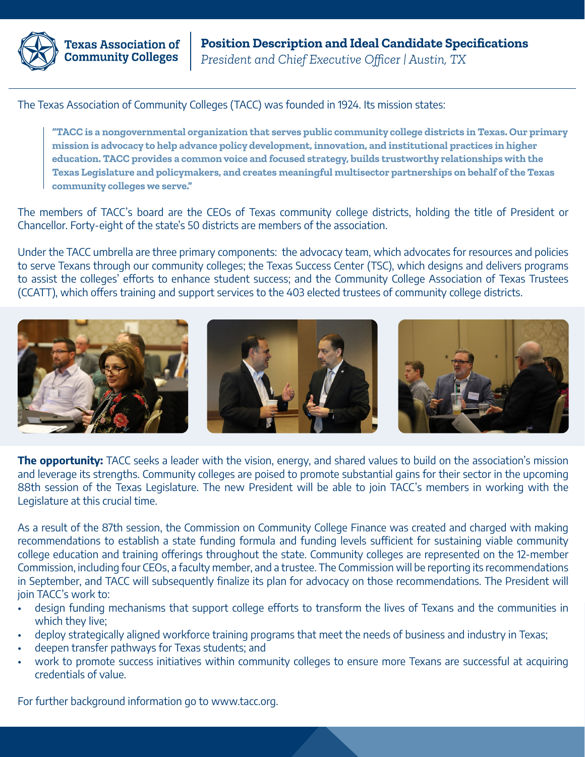

**Texas Association of Community Colleges** 

The Texas Association of Community Colleges (TACC) was founded in 1924. Its mission states:

**"TACC is a nongovernmental organization that serves public community college districts in Texas. Our primary mission is advocacy to help advance policy development, innovation, and institutional practices in higher education. TACC provides a common voice and focused strategy, builds trustworthy relationships with the Texas Legislature and policymakers, and creates meaningful multisector partnerships on behalf of the Texas community colleges we serve."**

The members of TACC's board are the CEOs of Texas community college districts, holding the title of President or Chancellor. Forty-eight of the state's 50 districts are members of the association.

Under the TACC umbrella are three primary components: the advocacy team, which advocates for resources and policies to serve Texans through our community colleges; the Texas Success Center (TSC), which designs and delivers programs to assist the colleges' efforts to enhance student success; and the Community College Association of Texas Trustees (CCATT), which offers training and support services to the 403 elected trustees of community college districts.



The opportunity: TACC seeks a leader with the vision, energy, and shared values to build on the association's mission and leverage its strengths. Community colleges are poised to promote substantial gains for their sector in the upcoming 88th session of the Texas Legislature. The new President will be able to join TACC's members in working with the Legislature at this crucial time.

As a result of the 87th session, the Commission on Community College Finance was created and charged with making recommendations to establish a state funding formula and funding levels sufficient for sustaining viable community college education and training offerings throughout the state. Community colleges are represented on the 12-member Commission, including four CEOs, a faculty member, and a trustee. The Commission will be reporting its recommendations in September, and TACC will subsequently finalize its plan for advocacy on those recommendations. The President will join TACC's work to:

- design funding mechanisms that support college efforts to transform the lives of Texans and the communities in which they live;
- deploy strategically aligned workforce training programs that meet the needs of business and industry in Texas;
- deepen transfer pathways for Texas students; and
- work to promote success initiatives within community colleges to ensure more Texans are successful at acquiring credentials of value.

For further background information go to www.tacc.org.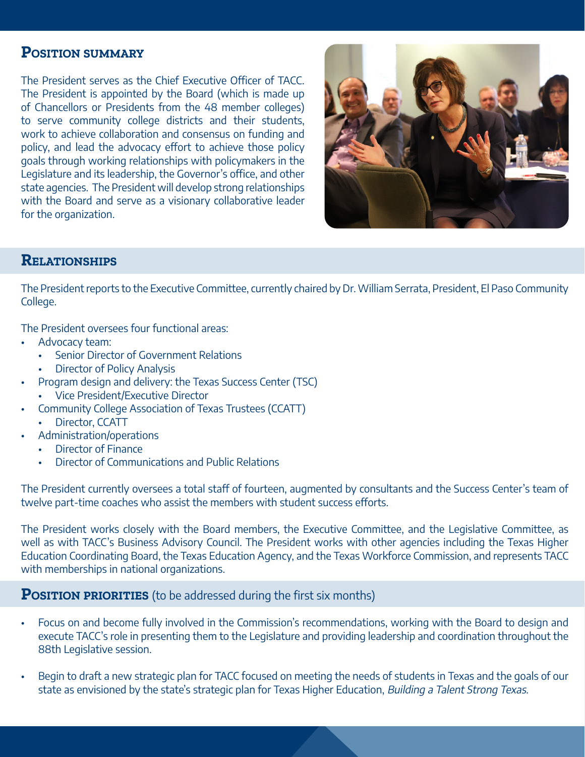### **Position summary**

The President serves as the Chief Executive Officer of TACC. The President is appointed by the Board (which is made up of Chancellors or Presidents from the 48 member colleges) to serve community college districts and their students, work to achieve collaboration and consensus on funding and policy, and lead the advocacy effort to achieve those policy goals through working relationships with policymakers in the Legislature and its leadership, the Governor's office, and other state agencies. The President will develop strong relationships with the Board and serve as a visionary collaborative leader for the organization.



# **Relationships**

The President reports to the Executive Committee, currently chaired by Dr. William Serrata, President, El Paso Community College.

The President oversees four functional areas:

- Advocacy team:
	- Senior Director of Government Relations
	- Director of Policy Analysis
- Program design and delivery: the Texas Success Center (TSC)
	- Vice President/Executive Director
- Community College Association of Texas Trustees (CCATT)
	- Director, CCATT
- Administration/operations
	- Director of Finance
	- Director of Communications and Public Relations

The President currently oversees a total staff of fourteen, augmented by consultants and the Success Center's team of twelve part-time coaches who assist the members with student success efforts.

The President works closely with the Board members, the Executive Committee, and the Legislative Committee, as well as with TACC's Business Advisory Council. The President works with other agencies including the Texas Higher Education Coordinating Board, the Texas Education Agency, and the Texas Workforce Commission, and represents TACC with memberships in national organizations.

#### **POSITION PRIORITIES** (to be addressed during the first six months)

- Focus on and become fully involved in the Commission's recommendations, working with the Board to design and execute TACC's role in presenting them to the Legislature and providing leadership and coordination throughout the 88th Legislative session.
- Begin to draft a new strategic plan for TACC focused on meeting the needs of students in Texas and the goals of our state as envisioned by the state's strategic plan for Texas Higher Education, Building a Talent Strong Texas.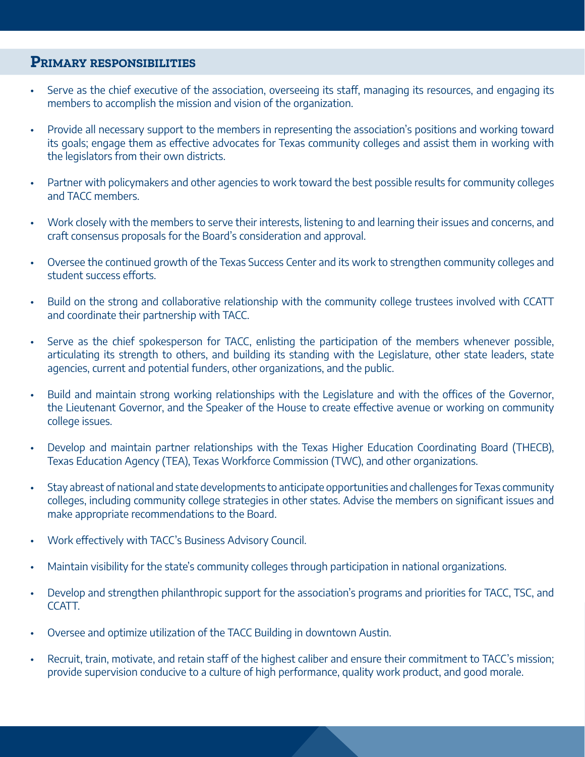#### **Primary responsibilities**

- Serve as the chief executive of the association, overseeing its staff, managing its resources, and engaging its members to accomplish the mission and vision of the organization.
- Provide all necessary support to the members in representing the association's positions and working toward its goals; engage them as effective advocates for Texas community colleges and assist them in working with the legislators from their own districts.
- Partner with policymakers and other agencies to work toward the best possible results for community colleges and TACC members.
- Work closely with the members to serve their interests, listening to and learning their issues and concerns, and craft consensus proposals for the Board's consideration and approval.
- Oversee the continued growth of the Texas Success Center and its work to strengthen community colleges and student success efforts.
- Build on the strong and collaborative relationship with the community college trustees involved with CCATT and coordinate their partnership with TACC.
- Serve as the chief spokesperson for TACC, enlisting the participation of the members whenever possible, articulating its strength to others, and building its standing with the Legislature, other state leaders, state agencies, current and potential funders, other organizations, and the public.
- Build and maintain strong working relationships with the Legislature and with the offices of the Governor, the Lieutenant Governor, and the Speaker of the House to create effective avenue or working on community college issues.
- Develop and maintain partner relationships with the Texas Higher Education Coordinating Board (THECB), Texas Education Agency (TEA), Texas Workforce Commission (TWC), and other organizations.
- Stay abreast of national and state developments to anticipate opportunities and challenges for Texas community colleges, including community college strategies in other states. Advise the members on significant issues and make appropriate recommendations to the Board.
- Work effectively with TACC's Business Advisory Council.
- Maintain visibility for the state's community colleges through participation in national organizations.
- Develop and strengthen philanthropic support for the association's programs and priorities for TACC, TSC, and CCATT.
- Oversee and optimize utilization of the TACC Building in downtown Austin.
- Recruit, train, motivate, and retain staff of the highest caliber and ensure their commitment to TACC's mission; provide supervision conducive to a culture of high performance, quality work product, and good morale.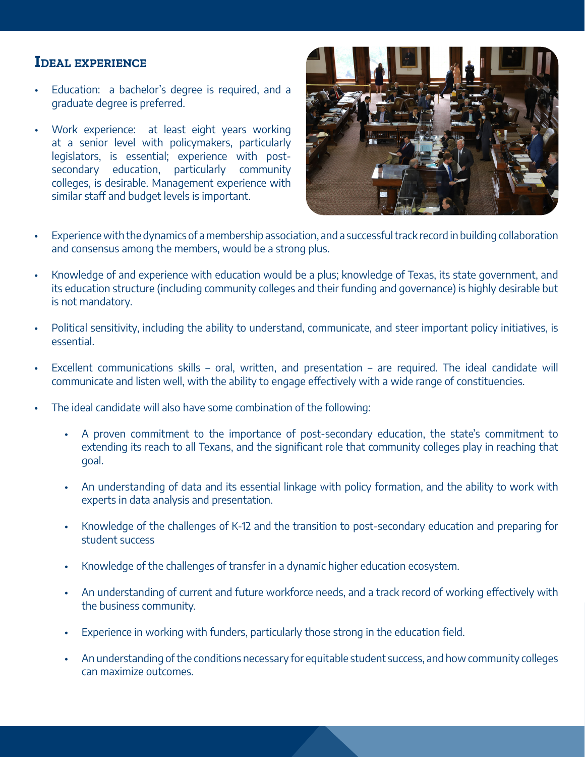## **Ideal experience**

- Education: a bachelor's degree is required, and a graduate degree is preferred.
- Work experience: at least eight years working at a senior level with policymakers, particularly legislators, is essential; experience with postsecondary education, particularly community colleges, is desirable. Management experience with similar staff and budget levels is important.



- Experience with the dynamics of a membership association, and a successful track record in building collaboration and consensus among the members, would be a strong plus.
- Knowledge of and experience with education would be a plus; knowledge of Texas, its state government, and its education structure (including community colleges and their funding and governance) is highly desirable but is not mandatory.
- Political sensitivity, including the ability to understand, communicate, and steer important policy initiatives, is essential.
- Excellent communications skills oral, written, and presentation are required. The ideal candidate will communicate and listen well, with the ability to engage effectively with a wide range of constituencies.
- The ideal candidate will also have some combination of the following:
	- A proven commitment to the importance of post-secondary education, the state's commitment to extending its reach to all Texans, and the significant role that community colleges play in reaching that goal.
	- An understanding of data and its essential linkage with policy formation, and the ability to work with experts in data analysis and presentation.
	- Knowledge of the challenges of K-12 and the transition to post-secondary education and preparing for student success
	- Knowledge of the challenges of transfer in a dynamic higher education ecosystem.
	- An understanding of current and future workforce needs, and a track record of working effectively with the business community.
	- Experience in working with funders, particularly those strong in the education field.
	- An understanding of the conditions necessary for equitable student success, and how community colleges can maximize outcomes.